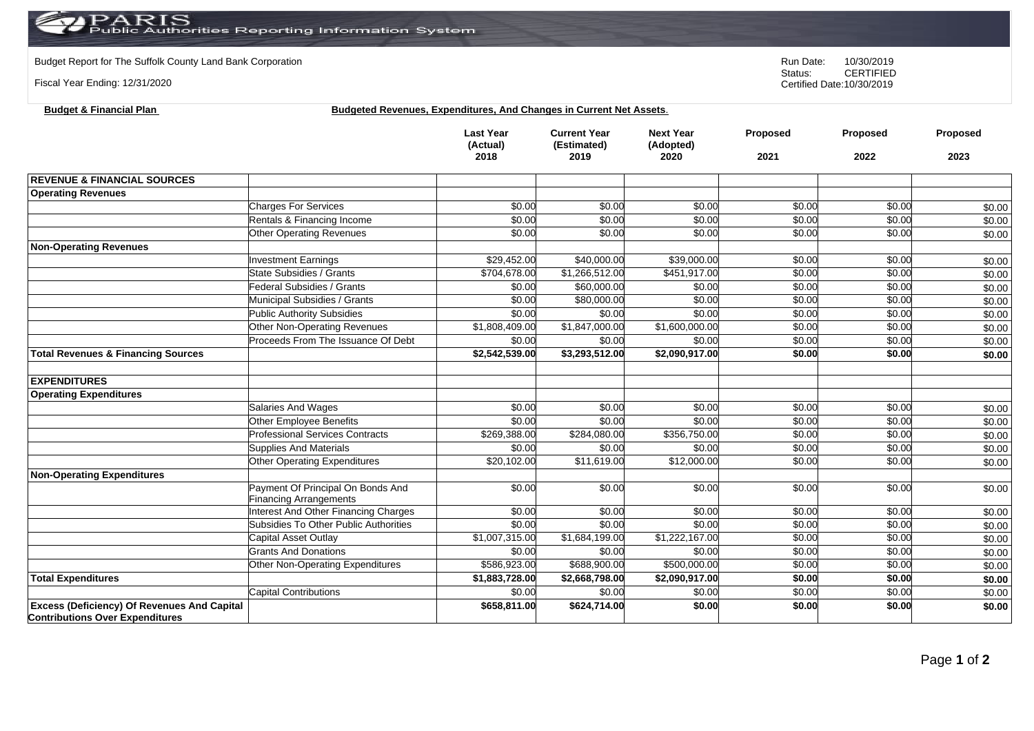## PARIS<br>Public Authorities Reporting Information System

**Budget & Financial Plan Budgeted Revenues, Expenditures, And Changes in Current Net Assets**.

Budget Report for The Suffolk County Land Bank Corporation **Run Date:** 10/30/2019<br>Status: CERTIFIED

Fiscal Year Ending: 12/31/2020

|                                                                                              |                                        | <b>Last Year</b><br>(Actual)<br>2018 | <b>Current Year</b><br>(Estimated)<br>2019 | <b>Next Year</b><br>(Adopted)<br>2020 | Proposed<br>2021 | Proposed<br>2022 | Proposed<br>2023 |
|----------------------------------------------------------------------------------------------|----------------------------------------|--------------------------------------|--------------------------------------------|---------------------------------------|------------------|------------------|------------------|
|                                                                                              |                                        |                                      |                                            |                                       |                  |                  |                  |
| <b>REVENUE &amp; FINANCIAL SOURCES</b>                                                       |                                        |                                      |                                            |                                       |                  |                  |                  |
| <b>Operating Revenues</b>                                                                    |                                        |                                      |                                            |                                       |                  |                  |                  |
|                                                                                              | <b>Charges For Services</b>            | \$0.00                               | \$0.00                                     | \$0.00                                | \$0.00           | \$0.00           | \$0.00           |
|                                                                                              | Rentals & Financing Income             | \$0.00                               | \$0.00                                     | \$0.00                                | \$0.00           | \$0.00           | \$0.00           |
|                                                                                              | <b>Other Operating Revenues</b>        | \$0.00                               | \$0.00                                     | \$0.00                                | \$0.00           | \$0.00           | \$0.00           |
| <b>Non-Operating Revenues</b>                                                                |                                        |                                      |                                            |                                       |                  |                  |                  |
|                                                                                              | <b>Investment Earnings</b>             | \$29,452.00                          | \$40,000.00                                | \$39,000.00                           | \$0.00           | \$0.00           | \$0.00           |
|                                                                                              | <b>State Subsidies / Grants</b>        | \$704,678.00                         | \$1,266,512.00                             | \$451,917.00                          | \$0.00           | \$0.00           | \$0.00           |
|                                                                                              | <b>Federal Subsidies / Grants</b>      | \$0.00                               | \$60,000.00                                | \$0.00                                | \$0.00           | \$0.00           | \$0.00           |
|                                                                                              | Municipal Subsidies / Grants           | \$0.00                               | \$80,000.00                                | \$0.00                                | \$0.00           | \$0.00           | \$0.00           |
|                                                                                              | <b>Public Authority Subsidies</b>      | \$0.00                               | \$0.00                                     | \$0.00                                | \$0.00           | \$0.00           | \$0.00           |
|                                                                                              | Other Non-Operating Revenues           | \$1,808,409.00                       | \$1,847,000.00                             | \$1,600,000.00                        | \$0.00           | \$0.00           | \$0.00           |
|                                                                                              | Proceeds From The Issuance Of Debt     | \$0.00                               | \$0.00                                     | \$0.00                                | \$0.00           | \$0.00           | \$0.00           |
| <b>Total Revenues &amp; Financing Sources</b>                                                |                                        | \$2,542,539.00                       | \$3,293,512.00                             | \$2,090,917.00                        | \$0.00           | \$0.00           | \$0.00           |
| <b>EXPENDITURES</b>                                                                          |                                        |                                      |                                            |                                       |                  |                  |                  |
| <b>Operating Expenditures</b>                                                                |                                        |                                      |                                            |                                       |                  |                  |                  |
|                                                                                              | <b>Salaries And Wages</b>              | \$0.00                               | \$0.00                                     | \$0.00                                | \$0.00           | \$0.00           | \$0.00           |
|                                                                                              | Other Employee Benefits                | \$0.00                               | \$0.00                                     | \$0.00                                | \$0.00           | \$0.00           | \$0.00           |
|                                                                                              | <b>Professional Services Contracts</b> | \$269,388.00                         | \$284,080.00                               | \$356,750.00                          | \$0.00           | \$0.00           | \$0.00           |
|                                                                                              | <b>Supplies And Materials</b>          | \$0.00                               | \$0.00                                     | \$0.00                                | \$0.00           | \$0.00           | \$0.00           |
|                                                                                              | Other Operating Expenditures           | $\overline{$20,102.00}$              | $\overline{$11,619.00}$                    | $\overline{$12,000.00}$               | \$0.00           | \$0.00           | \$0.00           |
| <b>Non-Operating Expenditures</b>                                                            |                                        |                                      |                                            |                                       |                  |                  |                  |
|                                                                                              | Payment Of Principal On Bonds And      | \$0.00                               | \$0.00                                     | \$0.00                                | \$0.00           | \$0.00           | \$0.00           |
|                                                                                              | <b>Financing Arrangements</b>          |                                      |                                            |                                       |                  |                  |                  |
|                                                                                              | nterest And Other Financing Charges    | \$0.00                               | \$0.00                                     | \$0.00                                | \$0.00           | \$0.00           | \$0.00           |
|                                                                                              | Subsidies To Other Public Authorities  | \$0.00                               | \$0.00                                     | \$0.00                                | \$0.00           | \$0.00           | \$0.00           |
|                                                                                              | Capital Asset Outlay                   | \$1,007,315.00                       | \$1,684,199.00                             | \$1,222,167.00                        | \$0.00           | \$0.00           | \$0.00           |
|                                                                                              | <b>Grants And Donations</b>            | \$0.00                               | \$0.00                                     | \$0.00                                | \$0.00           | \$0.00           | \$0.00           |
|                                                                                              | Other Non-Operating Expenditures       | \$586,923.00                         | \$688,900.00                               | \$500,000.00                          | \$0.00           | \$0.00           | \$0.00           |
| <b>Total Expenditures</b>                                                                    |                                        | \$1,883,728.00                       | \$2,668,798.00                             | \$2,090,917.00                        | \$0.00           | \$0.00           | \$0.00           |
|                                                                                              | <b>Capital Contributions</b>           | \$0.00                               | \$0.00                                     | \$0.00                                | \$0.00           | \$0.00           | \$0.00           |
| <b>Excess (Deficiency) Of Revenues And Capital</b><br><b>Contributions Over Expenditures</b> |                                        | \$658,811.00                         | \$624,714.00                               | \$0.00                                | \$0.00           | \$0.00           | \$0.00           |

CERTIFIED Certified Date:10/30/2019